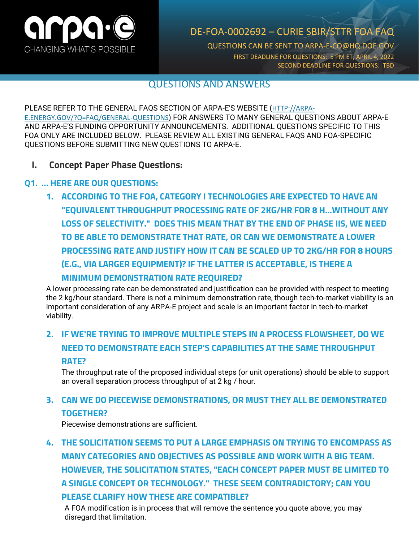

## DE-FOA-0002692 – CURIE SBIR/STTR FOA FAQ

QUESTIONS CAN BE SENT TO ARPA-E-CO@HQ.DOE.GOV FIRST DEADLINE FOR QUESTIONS: 5 PM ET, APRIL 4, 2022 SECOND DEADLINE FOR QUESTIONS: TBD

#### QUESTIONS AND ANSWERS

#### PLEASE REFER TO THE GENERAL FAQS SECTION OF ARPA-E'S WEBSITE ([HTTP://ARPA-](http://arpa-e.energy.gov/?Q=FAQ/GENERAL-QUESTIONS)[E.ENERGY.GOV/?Q=FAQ/GENERAL-QUESTIONS](http://arpa-e.energy.gov/?Q=FAQ/GENERAL-QUESTIONS)) FOR ANSWERS TO MANY GENERAL QUESTIONS ABOUT ARPA-E AND ARPA-E'S FUNDING OPPORTUNITY ANNOUNCEMENTS. ADDITIONAL QUESTIONS SPECIFIC TO THIS FOA ONLY ARE INCLUDED BELOW. PLEASE REVIEW ALL EXISTING GENERAL FAQS AND FOA-SPECIFIC QUESTIONS BEFORE SUBMITTING NEW QUESTIONS TO ARPA-E.

#### **I. Concept Paper Phase Questions:**

#### **Q1. … HERE ARE OUR QUESTIONS:**

**1. ACCORDING TO THE FOA, CATEGORY I TECHNOLOGIES ARE EXPECTED TO HAVE AN "EQUIVALENT THROUGHPUT PROCESSING RATE OF 2KG/HR FOR 8 H...WITHOUT ANY LOSS OF SELECTIVITY." DOES THIS MEAN THAT BY THE END OF PHASE IIS, WE NEED TO BE ABLE TO DEMONSTRATE THAT RATE, OR CAN WE DEMONSTRATE A LOWER PROCESSING RATE AND JUSTIFY HOW IT CAN BE SCALED UP TO 2KG/HR FOR 8 HOURS (E.G., VIA LARGER EQUIPMENT)? IF THE LATTER IS ACCEPTABLE, IS THERE A MINIMUM DEMONSTRATION RATE REQUIRED?**

A lower processing rate can be demonstrated and justification can be provided with respect to meeting the 2 kg/hour standard. There is not a minimum demonstration rate, though tech-to-market viability is an important consideration of any ARPA-E project and scale is an important factor in tech-to-market viability.

# **2. IF WE'RE TRYING TO IMPROVE MULTIPLE STEPS IN A PROCESS FLOWSHEET, DO WE NEED TO DEMONSTRATE EACH STEP'S CAPABILITIES AT THE SAME THROUGHPUT RATE?**

The throughput rate of the proposed individual steps (or unit operations) should be able to support an overall separation process throughput of at 2 kg / hour.

### **3. CAN WE DO PIECEWISE DEMONSTRATIONS, OR MUST THEY ALL BE DEMONSTRATED TOGETHER?**

Piecewise demonstrations are sufficient.

**4. THE SOLICITATION SEEMS TO PUT A LARGE EMPHASIS ON TRYING TO ENCOMPASS AS MANY CATEGORIES AND OBJECTIVES AS POSSIBLE AND WORK WITH A BIG TEAM. HOWEVER, THE SOLICITATION STATES, "EACH CONCEPT PAPER MUST BE LIMITED TO A SINGLE CONCEPT OR TECHNOLOGY." THESE SEEM CONTRADICTORY; CAN YOU PLEASE CLARIFY HOW THESE ARE COMPATIBLE?**

A FOA modification is in process that will remove the sentence you quote above; you may disregard that limitation.